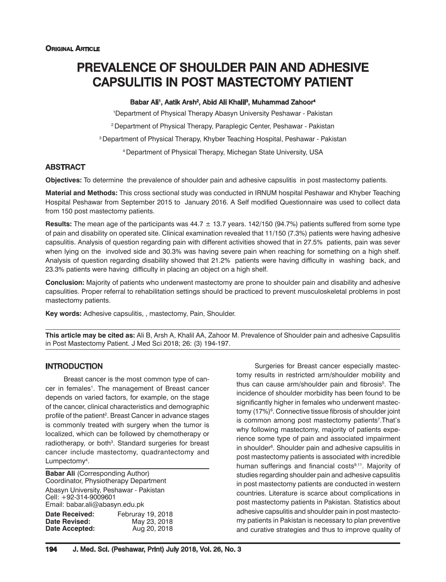# PREVALENCE OF SHOULDER PAIN AND ADHESIVE CAPSULITIS IN POST MASTECTOMY PATIENT

#### Babar Ali', Aatik Arsh<sup>2</sup>, Abid Ali Khalil<sup>3</sup>, Muhammad Zahoor<sup>4</sup>

1 Department of Physical Therapy Abasyn University Peshawar - Pakistan 2 Department of Physical Therapy, Paraplegic Center, Peshawar - Pakistan 3 Department of Physical Therapy, Khyber Teaching Hospital, Peshawar - Pakistan

4 Department of Physical Therapy, Michegan State University, USA

# **ABSTRACT**

**Objectives:** To determine the prevalence of shoulder pain and adhesive capsulitis in post mastectomy patients.

**Material and Methods:** This cross sectional study was conducted in IRNUM hospital Peshawar and Khyber Teaching Hospital Peshawar from September 2015 to January 2016. A Self modified Questionnaire was used to collect data from 150 post mastectomy patients.

**Results:** The mean age of the participants was 44.7 ± 13.7 years. 142/150 (94.7%) patients suffered from some type of pain and disability on operated site. Clinical examination revealed that 11/150 (7.3%) patients were having adhesive capsulitis. Analysis of question regarding pain with different activities showed that in 27.5% patients, pain was sever when lying on the involved side and 30.3% was having severe pain when reaching for something on a high shelf. Analysis of question regarding disability showed that 21.2% patients were having difficulty in washing back, and 23.3% patients were having difficulty in placing an object on a high shelf.

**Conclusion:** Majority of patients who underwent mastectomy are prone to shoulder pain and disability and adhesive capsulities. Proper referral to rehabilitation settings should be practiced to prevent musculoskeletal problems in post mastectomy patients.

**Key words:** Adhesive capsulitis, , mastectomy, Pain, Shoulder.

**This article may be cited as:** Ali B, Arsh A, Khalil AA, Zahoor M. Prevalence of Shoulder pain and adhesive Capsulitis in Post Mastectomy Patient. J Med Sci 2018; 26: (3) 194-197.

# INTRODUCTION

Breast cancer is the most common type of cancer in females<sup>1</sup>. The management of Breast cancer depends on varied factors, for example, on the stage of the cancer, clinical characteristics and demographic profile of the patient<sup>2</sup>. Breast Cancer in advance stages is commonly treated with surgery when the tumor is localized, which can be followed by chemotherapy or radiotherapy, or both<sup>3</sup>. Standard surgeries for breast cancer include mastectomy, quadrantectomy and Lumpectomy<sup>4</sup>.

**Babar Ali (Corresponding Author)** Coordinator, Physiotherapy Department Abasyn University, Peshawar - Pakistan Cell: +92-314-9009601 Email: babar.ali@abasyn.edu.pk **Date Received:** Februray 19, 2018 **Date Revised:** May 23, 2018<br>**Date Accepted:** Aug 20, 2018 **Date Accepted:** 

Surgeries for Breast cancer especially mastectomy results in restricted arm/shoulder mobility and thus can cause arm/shoulder pain and fibrosis<sup>5</sup>. The incidence of shoulder morbidity has been found to be significantly higher in females who underwent mastectomy (17%)<sup>6</sup>. Connective tissue fibrosis of shoulder joint is common among post mastectomy patients<sup>7</sup>. That's why following mastectomy, majority of patients experience some type of pain and associated impairment in shoulder<sup>8</sup>. Shoulder pain and adhesive capsulitis in post mastectomy patients is associated with incredible human sufferings and financial costs<sup>9,11</sup>. Majority of studies regarding shoulder pain and adhesive capsulitis in post mastectomy patients are conducted in western countries. Literature is scarce about complications in post mastectomy patients in Pakistan. Statistics about adhesive capsulitis and shoulder pain in post mastectomy patients in Pakistan is necessary to plan preventive and curative strategies and thus to improve quality of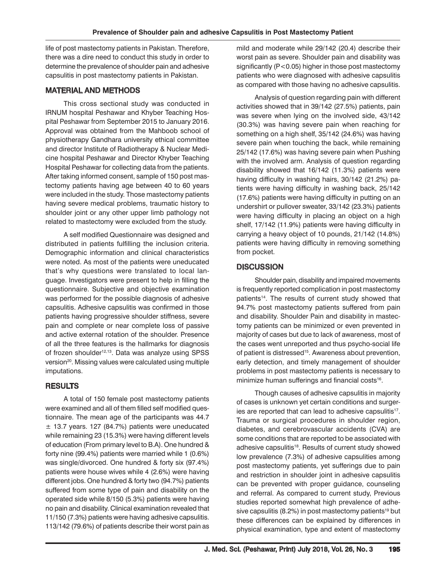life of post mastectomy patients in Pakistan. Therefore, there was a dire need to conduct this study in order to determine the prevalence of shoulder pain and adhesive capsulitis in post mastectomy patients in Pakistan.

### MATERIAL AND METHODS

This cross sectional study was conducted in IRNUM hospital Peshawar and Khyber Teaching Hospital Peshawar from September 2015 to January 2016. Approval was obtained from the Mahboob school of physiotherapy Gandhara university ethical committee and director Institute of Radiotherapy & Nuclear Medicine hospital Peshawar and Director Khyber Teaching Hospital Peshawar for collecting data from the patients. After taking informed consent, sample of 150 post mastectomy patients having age between 40 to 60 years were included in the study. Those mastectomy patients having severe medical problems, traumatic history to shoulder joint or any other upper limb pathology not related to mastectomy were excluded from the study.

A self modified Questionnaire was designed and distributed in patients fulfilling the inclusion criteria. Demographic information and clinical characteristics were noted. As most of the patients were uneducated that's why questions were translated to local language. Investigators were present to help in filling the questionnaire. Subjective and objective examination was performed for the possible diagnosis of adhesive capsulitis. Adhesive capsulitis was confirmed in those patients having progressive shoulder stiffness, severe pain and complete or near complete loss of passive and active external rotation of the shoulder. Presence of all the three features is the hallmarks for diagnosis of frozen shoulder<sup>12,13</sup>. Data was analyze using SPSS version<sup>20</sup>. Missing values were calculated using multiple imputations.

# **RESULTS**

A total of 150 female post mastectomy patients were examined and all of them filled self modified questionnaire. The mean age of the participants was 44.7  $±$  13.7 years. 127 (84.7%) patients were uneducated while remaining 23 (15.3%) were having different levels of education (From primary level to B.A). One hundred & forty nine (99.4%) patients were married while 1 (0.6%) was single/divorced. One hundred & forty six (97.4%) patients were house wives while 4 (2.6%) were having different jobs. One hundred & forty two (94.7%) patients suffered from some type of pain and disability on the operated side while 8/150 (5.3%) patients were having no pain and disability. Clinical examination revealed that 11/150 (7.3%) patients were having adhesive capsulitis. 113/142 (79.6%) of patients describe their worst pain as

mild and moderate while 29/142 (20.4) describe their worst pain as severe. Shoulder pain and disability was significantly (P<0.05) higher in those post mastectomy patients who were diagnosed with adhesive capsulitis as compared with those having no adhesive capsulitis.

Analysis of question regarding pain with different activities showed that in 39/142 (27.5%) patients, pain was severe when lying on the involved side, 43/142 (30.3%) was having severe pain when reaching for something on a high shelf, 35/142 (24.6%) was having severe pain when touching the back, while remaining 25/142 (17.6%) was having severe pain when Pushing with the involved arm. Analysis of question regarding disability showed that 16/142 (11.3%) patients were having difficulty in washing hairs, 30/142 (21.2%) patients were having difficulty in washing back, 25/142 (17.6%) patients were having difficulty in putting on an undershirt or pullover sweater, 33/142 (23.3%) patients were having difficulty in placing an object on a high shelf, 17/142 (11.9%) patients were having difficulty in carrying a heavy object of 10 pounds, 21/142 (14.8%) patients were having difficulty in removing something from pocket.

# **DISCUSSION**

Shoulder pain, disability and impaired movements is frequently reported complication in post mastectomy patients<sup>14</sup>. The results of current study showed that 94.7% post mastectomy patients suffered from pain and disability. Shoulder Pain and disability in mastectomy patients can be minimized or even prevented in majority of cases but due to lack of awareness, most of the cases went unreported and thus psycho-social life of patient is distressed<sup>15</sup>. Awareness about prevention, early detection, and timely management of shoulder problems in post mastectomy patients is necessary to minimize human sufferings and financial costs<sup>16</sup>.

Though causes of adhesive capsulitis in majority of cases is unknown yet certain conditions and surgeries are reported that can lead to adhesive capsulitis<sup>17</sup>. Trauma or surgical procedures in shoulder region, diabetes, and cerebrovascular accidents (CVA) are some conditions that are reported to be associated with adhesive capsulitis<sup>18</sup>. Results of current study showed low prevalence (7.3%) of adhesive capsulities among post mastectomy patients, yet sufferings due to pain and restriction in shoulder joint in adhesive capsulitis can be prevented with proper guidance, counseling and referral. As compared to current study, Previous studies reported somewhat high prevalence of adhesive capsulitis (8.2%) in post mastectomy patients<sup>19</sup> but these differences can be explained by differences in physical examination, type and extent of mastectomy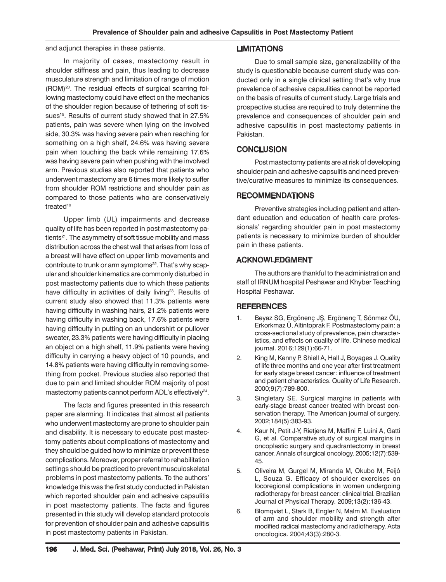and adjunct therapies in these patients.

# In majority of cases, mastectomy result in shoulder stiffness and pain, thus leading to decrease musculature strength and limitation of range of motion (ROM)<sup>20</sup>. The residual effects of surgical scarring following mastectomy could have effect on the mechanics of the shoulder region because of tethering of soft tissues<sup>19</sup>. Results of current study showed that in 27.5% patients, pain was severe when lying on the involved side, 30.3% was having severe pain when reaching for something on a high shelf, 24.6% was having severe pain when touching the back while remaining 17.6% was having severe pain when pushing with the involved arm. Previous studies also reported that patients who underwent mastectomy are 6 times more likely to suffer from shoulder ROM restrictions and shoulder pain as compared to those patients who are conservatively treated<sup>19</sup>

Upper limb (UL) impairments and decrease quality of life has been reported in post mastectomy patients<sup>21</sup>. The asymmetry of soft tissue mobility and mass distribution across the chest wall that arises from loss of a breast will have effect on upper limb movements and contribute to trunk or arm symptoms<sup>22</sup>. That's why scapular and shoulder kinematics are commonly disturbed in post mastectomy patients due to which these patients have difficulty in activities of daily living<sup>23</sup>. Results of current study also showed that 11.3% patients were having difficulty in washing hairs, 21.2% patients were having difficulty in washing back, 17.6% patients were having difficulty in putting on an undershirt or pullover sweater, 23.3% patients were having difficulty in placing an object on a high shelf, 11.9% patients were having difficulty in carrying a heavy object of 10 pounds, and 14.8% patients were having difficulty in removing something from pocket. Previous studies also reported that due to pain and limited shoulder ROM majority of post mastectomy patients cannot perform ADL's effectively<sup>24</sup>.

The facts and figures presented in this research paper are alarming. It indicates that almost all patients who underwent mastectomy are prone to shoulder pain and disability. It is necessary to educate post mastectomy patients about complications of mastectomy and they should be guided how to minimize or prevent these complications. Moreover, proper referral to rehabilitation settings should be practiced to prevent musculoskeletal problems in post mastectomy patients. To the authors' knowledge this was the first study conducted in Pakistan which reported shoulder pain and adhesive capsulitis in post mastectomy patients. The facts and figures presented in this study will develop standard protocols for prevention of shoulder pain and adhesive capsulitis in post mastectomy patients in Pakistan.

#### LIMITATIONS

Due to small sample size, generalizability of the study is questionable because current study was conducted only in a single clinical setting that's why true prevalence of adhesive capsulities cannot be reported on the basis of results of current study. Large trials and prospective studies are required to truly determine the prevalence and consequences of shoulder pain and adhesive capsulitis in post mastectomy patients in Pakistan.

#### **CONCLUSION**

Post mastectomy patients are at risk of developing shoulder pain and adhesive capsulitis and need preventive/curative measures to minimize its consequences.

#### RECOMMENDATIONS

Preventive strategies including patient and attendant education and education of health care professionals' regarding shoulder pain in post mastectomy patients is necessary to minimize burden of shoulder pain in these patients.

#### ACKNOWLEDGMENT

The authors are thankful to the administration and staff of IRNUM hospital Peshawar and Khyber Teaching Hospital Peshawar.

# **REFERENCES**

- 1. Beyaz SG, Ergönenç JŞ, Ergönenç T, Sönmez ÖU, Erkorkmaz Ü, Altintoprak F. Postmastectomy pain: a cross-sectional study of prevalence, pain characteristics, and effects on quality of life. Chinese medical journal. 2016;129(1):66-71.
- 2. King M, Kenny P, Shiell A, Hall J, Boyages J. Quality of life three months and one year after first treatment for early stage breast cancer: influence of treatment and patient characteristics. Quality of Life Research. 2000;9(7):789-800.
- 3. Singletary SE. Surgical margins in patients with early-stage breast cancer treated with breast conservation therapy. The American journal of surgery. 2002;184(5):383-93.
- 4. Kaur N, Petit J-Y, Rietjens M, Maffini F, Luini A, Gatti G, et al. Comparative study of surgical margins in oncoplastic surgery and quadrantectomy in breast cancer. Annals of surgical oncology. 2005;12(7):539- 45.
- 5. Oliveira M, Gurgel M, Miranda M, Okubo M, Feijó L, Souza G. Efficacy of shoulder exercises on locoregional complications in women undergoing radiotherapy for breast cancer: clinical trial. Brazilian Journal of Physical Therapy. 2009;13(2):136-43.
- 6. Blomqvist L, Stark B, Engler N, Malm M. Evaluation of arm and shoulder mobility and strength after modified radical mastectomy and radiotherapy. Acta oncologica. 2004;43(3):280-3.